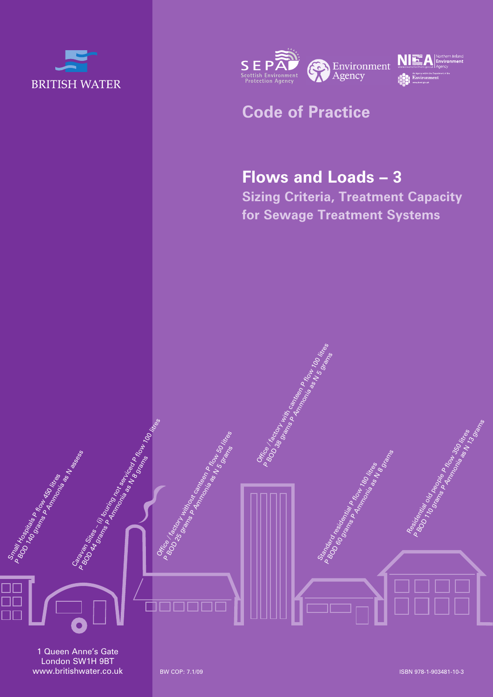



## **Code of Practice**

Office 18chory with came on the 100 litres P Brock Record Ammonia PROM 100 PM

# **Flows and Loads – 3**

**Sizing Criteria, Treatment Capacity for Sewage Treatment Systems**

> Standard Residential Property Control Control Control Control Control Control Control Control Control Control Control Control Control Control Control Control Control Control Control Control Control Control Control Control P Broad Readance Readance Readance Readance Readance Readance Readance Readance Readance Readance Readance Rea<br>P Bod Prancipal Private Propins Readance Readance Readance

1 Queen Anne's Gate London SW1H 9BT www.britishwater.co.uk

Small Hospitals Plan<br>1800 Hospitals Plan<br><sup>9760</sup> <sup>Grand</sup> Plan 450 litres

00<br>00<br>00

P BOD 140 grams P Ammonia as N assess

Caravan Sites – (i) touring not serviced Parameter 100 litres

P BOD 94 GRAMS PARTING AND SEARCH CONDUCTS

Office 1860 Manufactures Canter of the South of the South of the P Bree 1 grams Primary Reserves Processes and Reserves Processes Residential old people P flow 350 litres P BOMial of Ampare Primering Sortings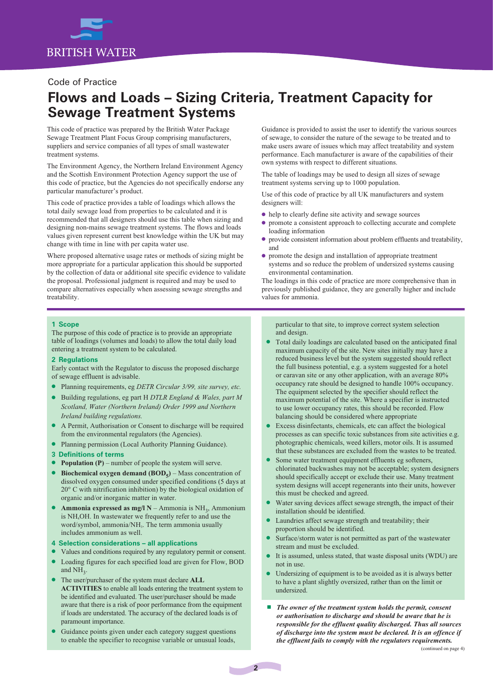

#### Code of Practice

## **Flows and Loads – Sizing Criteria, Treatment Capacity for Sewage Treatment Systems**

This code of practice was prepared by the British Water Package Sewage Treatment Plant Focus Group comprising manufacturers, suppliers and service companies of all types of small wastewater treatment systems.

The Environment Agency, the Northern Ireland Environment Agency and the Scottish Environment Protection Agency support the use of this code of practice, but the Agencies do not specifically endorse any particular manufacturer's product.

This code of practice provides a table of loadings which allows the total daily sewage load from properties to be calculated and it is recommended that all designers should use this table when sizing and designing non-mains sewage treatment systems. The flows and loads values given represent current best knowledge within the UK but may change with time in line with per capita water use.

Where proposed alternative usage rates or methods of sizing might be more appropriate for a particular application this should be supported by the collection of data or additional site specific evidence to validate the proposal. Professional judgment is required and may be used to compare alternatives especially when assessing sewage strengths and treatability.

Guidance is provided to assist the user to identify the various sources of sewage, to consider the nature of the sewage to be treated and to make users aware of issues which may affect treatability and system performance. Each manufacturer is aware of the capabilities of their own systems with respect to different situations.

The table of loadings may be used to design all sizes of sewage treatment systems serving up to 1000 population.

Use of this code of practice by all UK manufacturers and system designers will:

- l help to clearly define site activity and sewage sources
- promote a consistent approach to collecting accurate and complete loading information
- provide consistent information about problem effluents and treatability, and
- l promote the design and installation of appropriate treatment systems and so reduce the problem of undersized systems causing environmental contamination.

The loadings in this code of practice are more comprehensive than in previously published guidance, they are generally higher and include values for ammonia.

#### **1 Scope**

The purpose of this code of practice is to provide an appropriate table of loadings (volumes and loads) to allow the total daily load entering a treatment system to be calculated.

#### **2 Regulations**

Early contact with the Regulator to discuss the proposed discharge of sewage effluent is advisable.

- l Planning requirements, eg *DETR Circular 3/99, site survey, etc.*
- l Building regulations, eg part H *DTLR England & Wales, part M Scotland, Water (Northern Ireland) Order 1999 and Northern Ireland building regulations.*
- l A Permit, Authorisation or Consent to discharge will be required from the environmental regulators (the Agencies).
- **•** Planning permission (Local Authority Planning Guidance).
- **3 Definitions of terms**
- **Population (P)** number of people the system will serve.
- **Biochemical oxygen demand (BOD<sub>5</sub>)** Mass concentration of dissolved oxygen consumed under specified conditions (5 days at 20° C with nitrification inhibition) by the biological oxidation of organic and/or inorganic matter in water.
- **Ammonia expressed as mg/l N** Ammonia is NH<sub>3</sub>, Ammonium is NH4OH. In wastewater we frequently refer to and use the word/symbol, ammonia/NH<sub>3</sub>. The term ammonia usually includes ammonium as well.

#### **4 Selection considerations – all applications**

- Values and conditions required by any regulatory permit or consent.
- Loading figures for each specified load are given for Flow, BOD and  $NH<sub>2</sub>$ .
- l The user/purchaser of the system must declare **ALL ACTIVITIES** to enable all loads entering the treatment system to be identified and evaluated. The user/purchaser should be made aware that there is a risk of poor performance from the equipment if loads are understated. The accuracy of the declared loads is of paramount importance.
- Guidance points given under each category suggest questions to enable the specifier to recognise variable or unusual loads,

particular to that site, to improve correct system selection and design.

- Total daily loadings are calculated based on the anticipated final maximum capacity of the site. New sites initially may have a reduced business level but the system suggested should reflect the full business potential, e.g. a system suggested for a hotel or caravan site or any other application, with an average 80% occupancy rate should be designed to handle 100% occupancy. The equipment selected by the specifier should reflect the maximum potential of the site. Where a specifier is instructed to use lower occupancy rates, this should be recorded. Flow balancing should be considered where appropriate
- l Excess disinfectants, chemicals, etc can affect the biological processes as can specific toxic substances from site activities e.g. photographic chemicals, weed killers, motor oils. It is assumed that these substances are excluded from the wastes to be treated.
- Some water treatment equipment effluents eg softeners, chlorinated backwashes may not be acceptable; system designers should specifically accept or exclude their use. Many treatment system designs will accept regenerants into their units, however this must be checked and agreed.
- Water saving devices affect sewage strength, the impact of their installation should be identified.
- l Laundries affect sewage strength and treatability; their proportion should be identified.
- Surface/storm water is not permitted as part of the wastewater stream and must be excluded.
- It is assumed, unless stated, that waste disposal units (WDU) are not in use.
- l Undersizing of equipment is to be avoided as it is always better to have a plant slightly oversized, rather than on the limit or undersized.
- The owner of the treatment system holds the permit, consent *or authorisation to discharge and should be aware that he is responsible for the effluent quality discharged. Thus all sources of discharge into the system must be declared. It is an offence if the effluent fails to comply with the regulators requirements.*

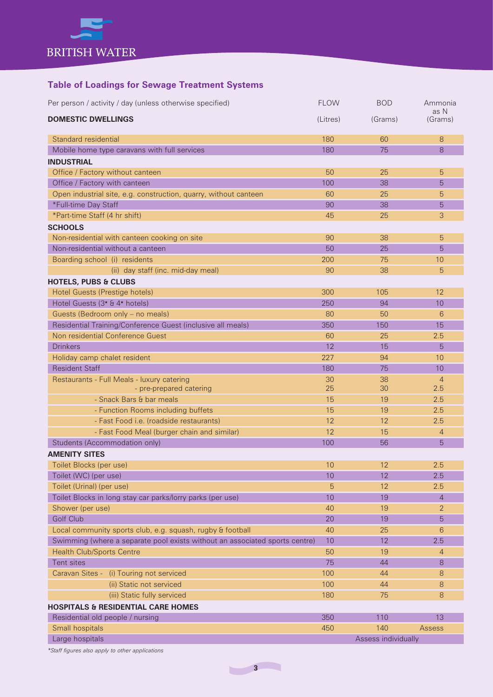

### **Table of Loadings for Sewage Treatment Systems**

| <b>DOMESTIC DWELLINGS</b><br>(Litres)<br>(Grams)<br>(Grams)<br>Standard residential<br>180<br>8<br>60<br>8<br>Mobile home type caravans with full services<br>180<br>75<br><b>INDUSTRIAL</b><br>Office / Factory without canteen<br>50<br>25<br>5<br>Office / Factory with canteen<br>100<br>38<br>5<br>Open industrial site, e.g. construction, quarry, without canteen<br>60<br>25<br>5<br>*Full-time Day Staff<br>90<br>38<br>5<br>*Part-time Staff (4 hr shift)<br>3<br>25<br>45<br><b>SCHOOLS</b><br>5<br>Non-residential with canteen cooking on site<br>90<br>38<br>Non-residential without a canteen<br>5<br>50<br>25<br>Boarding school (i) residents<br>200<br>75<br>10<br>(ii) day staff (inc. mid-day meal)<br>90<br>38<br>5<br><b>HOTELS, PUBS &amp; CLUBS</b><br><b>Hotel Guests (Prestige hotels)</b><br>300<br>105<br>12<br>Hotel Guests (3 <sup>*</sup> & 4 <sup>*</sup> hotels)<br>250<br>94<br>10<br>Guests (Bedroom only - no meals)<br>6<br>80<br>50<br>Residential Training/Conference Guest (inclusive all meals)<br>350<br>150<br>15<br>Non residential Conference Guest<br>2.5<br>60<br>25<br><b>Drinkers</b><br>12<br>15<br>5<br>227<br>94<br>10<br>Holiday camp chalet resident<br><b>Resident Staff</b><br>180<br>75<br>10<br>38<br>$\overline{4}$<br>Restaurants - Full Meals - luxury catering<br>30<br>25<br>- pre-prepared catering<br>30<br>2.5<br>- Snack Bars & bar meals<br>15<br>2.5<br>19<br>- Function Rooms including buffets<br>15<br>2.5<br>19<br>- Fast Food i.e. (roadside restaurants)<br>12<br>2.5<br>12<br>- Fast Food Meal (burger chain and similar)<br>12<br>15<br>$\overline{4}$<br>Students (Accommodation only)<br>100<br>56<br>5<br><b>AMENITY SITES</b><br>10<br>12<br>2.5<br>Toilet Blocks (per use)<br>Toilet (WC) (per use)<br>10<br>12<br>2.5<br>Toilet (Urinal) (per use)<br>12<br>2.5<br>5<br>10<br>Toilet Blocks in long stay car parks/lorry parks (per use)<br>19<br>$\overline{4}$<br>Shower (per use)<br>40<br>$\overline{2}$<br>19<br>Golf Club<br>20<br>19<br>5<br>Local community sports club, e.g. squash, rugby & football<br>6<br>40<br>25<br>Swimming (where a separate pool exists without an associated sports centre)<br>12<br>2.5<br>10<br><b>Health Club/Sports Centre</b><br>50<br>19<br>$\overline{4}$<br>Tent sites<br>75<br>44<br>8<br>Caravan Sites - (i) Touring not serviced<br>100<br>8<br>44<br>(ii) Static not serviced<br>100<br>8<br>44<br>(iii) Static fully serviced<br>180<br>75<br>8<br><b>HOSPITALS &amp; RESIDENTIAL CARE HOMES</b><br>350<br>Residential old people / nursing<br>110<br>13<br>Small hospitals<br>450<br>140<br>Assess<br>Large hospitals<br>Assess individually | Per person / activity / day (unless otherwise specified) | <b>FLOW</b> | <b>BOD</b> | Ammonia |
|----------------------------------------------------------------------------------------------------------------------------------------------------------------------------------------------------------------------------------------------------------------------------------------------------------------------------------------------------------------------------------------------------------------------------------------------------------------------------------------------------------------------------------------------------------------------------------------------------------------------------------------------------------------------------------------------------------------------------------------------------------------------------------------------------------------------------------------------------------------------------------------------------------------------------------------------------------------------------------------------------------------------------------------------------------------------------------------------------------------------------------------------------------------------------------------------------------------------------------------------------------------------------------------------------------------------------------------------------------------------------------------------------------------------------------------------------------------------------------------------------------------------------------------------------------------------------------------------------------------------------------------------------------------------------------------------------------------------------------------------------------------------------------------------------------------------------------------------------------------------------------------------------------------------------------------------------------------------------------------------------------------------------------------------------------------------------------------------------------------------------------------------------------------------------------------------------------------------------------------------------------------------------------------------------------------------------------------------------------------------------------------------------------------------------------------------------------------------------------------------------------------------------------------------------------------------------------------------------------------------------------------------------------------------------------|----------------------------------------------------------|-------------|------------|---------|
|                                                                                                                                                                                                                                                                                                                                                                                                                                                                                                                                                                                                                                                                                                                                                                                                                                                                                                                                                                                                                                                                                                                                                                                                                                                                                                                                                                                                                                                                                                                                                                                                                                                                                                                                                                                                                                                                                                                                                                                                                                                                                                                                                                                                                                                                                                                                                                                                                                                                                                                                                                                                                                                                                  |                                                          |             |            | as N    |
|                                                                                                                                                                                                                                                                                                                                                                                                                                                                                                                                                                                                                                                                                                                                                                                                                                                                                                                                                                                                                                                                                                                                                                                                                                                                                                                                                                                                                                                                                                                                                                                                                                                                                                                                                                                                                                                                                                                                                                                                                                                                                                                                                                                                                                                                                                                                                                                                                                                                                                                                                                                                                                                                                  |                                                          |             |            |         |
|                                                                                                                                                                                                                                                                                                                                                                                                                                                                                                                                                                                                                                                                                                                                                                                                                                                                                                                                                                                                                                                                                                                                                                                                                                                                                                                                                                                                                                                                                                                                                                                                                                                                                                                                                                                                                                                                                                                                                                                                                                                                                                                                                                                                                                                                                                                                                                                                                                                                                                                                                                                                                                                                                  |                                                          |             |            |         |
|                                                                                                                                                                                                                                                                                                                                                                                                                                                                                                                                                                                                                                                                                                                                                                                                                                                                                                                                                                                                                                                                                                                                                                                                                                                                                                                                                                                                                                                                                                                                                                                                                                                                                                                                                                                                                                                                                                                                                                                                                                                                                                                                                                                                                                                                                                                                                                                                                                                                                                                                                                                                                                                                                  |                                                          |             |            |         |
|                                                                                                                                                                                                                                                                                                                                                                                                                                                                                                                                                                                                                                                                                                                                                                                                                                                                                                                                                                                                                                                                                                                                                                                                                                                                                                                                                                                                                                                                                                                                                                                                                                                                                                                                                                                                                                                                                                                                                                                                                                                                                                                                                                                                                                                                                                                                                                                                                                                                                                                                                                                                                                                                                  |                                                          |             |            |         |
|                                                                                                                                                                                                                                                                                                                                                                                                                                                                                                                                                                                                                                                                                                                                                                                                                                                                                                                                                                                                                                                                                                                                                                                                                                                                                                                                                                                                                                                                                                                                                                                                                                                                                                                                                                                                                                                                                                                                                                                                                                                                                                                                                                                                                                                                                                                                                                                                                                                                                                                                                                                                                                                                                  |                                                          |             |            |         |
|                                                                                                                                                                                                                                                                                                                                                                                                                                                                                                                                                                                                                                                                                                                                                                                                                                                                                                                                                                                                                                                                                                                                                                                                                                                                                                                                                                                                                                                                                                                                                                                                                                                                                                                                                                                                                                                                                                                                                                                                                                                                                                                                                                                                                                                                                                                                                                                                                                                                                                                                                                                                                                                                                  |                                                          |             |            |         |
|                                                                                                                                                                                                                                                                                                                                                                                                                                                                                                                                                                                                                                                                                                                                                                                                                                                                                                                                                                                                                                                                                                                                                                                                                                                                                                                                                                                                                                                                                                                                                                                                                                                                                                                                                                                                                                                                                                                                                                                                                                                                                                                                                                                                                                                                                                                                                                                                                                                                                                                                                                                                                                                                                  |                                                          |             |            |         |
|                                                                                                                                                                                                                                                                                                                                                                                                                                                                                                                                                                                                                                                                                                                                                                                                                                                                                                                                                                                                                                                                                                                                                                                                                                                                                                                                                                                                                                                                                                                                                                                                                                                                                                                                                                                                                                                                                                                                                                                                                                                                                                                                                                                                                                                                                                                                                                                                                                                                                                                                                                                                                                                                                  |                                                          |             |            |         |
|                                                                                                                                                                                                                                                                                                                                                                                                                                                                                                                                                                                                                                                                                                                                                                                                                                                                                                                                                                                                                                                                                                                                                                                                                                                                                                                                                                                                                                                                                                                                                                                                                                                                                                                                                                                                                                                                                                                                                                                                                                                                                                                                                                                                                                                                                                                                                                                                                                                                                                                                                                                                                                                                                  |                                                          |             |            |         |
|                                                                                                                                                                                                                                                                                                                                                                                                                                                                                                                                                                                                                                                                                                                                                                                                                                                                                                                                                                                                                                                                                                                                                                                                                                                                                                                                                                                                                                                                                                                                                                                                                                                                                                                                                                                                                                                                                                                                                                                                                                                                                                                                                                                                                                                                                                                                                                                                                                                                                                                                                                                                                                                                                  |                                                          |             |            |         |
|                                                                                                                                                                                                                                                                                                                                                                                                                                                                                                                                                                                                                                                                                                                                                                                                                                                                                                                                                                                                                                                                                                                                                                                                                                                                                                                                                                                                                                                                                                                                                                                                                                                                                                                                                                                                                                                                                                                                                                                                                                                                                                                                                                                                                                                                                                                                                                                                                                                                                                                                                                                                                                                                                  |                                                          |             |            |         |
|                                                                                                                                                                                                                                                                                                                                                                                                                                                                                                                                                                                                                                                                                                                                                                                                                                                                                                                                                                                                                                                                                                                                                                                                                                                                                                                                                                                                                                                                                                                                                                                                                                                                                                                                                                                                                                                                                                                                                                                                                                                                                                                                                                                                                                                                                                                                                                                                                                                                                                                                                                                                                                                                                  |                                                          |             |            |         |
|                                                                                                                                                                                                                                                                                                                                                                                                                                                                                                                                                                                                                                                                                                                                                                                                                                                                                                                                                                                                                                                                                                                                                                                                                                                                                                                                                                                                                                                                                                                                                                                                                                                                                                                                                                                                                                                                                                                                                                                                                                                                                                                                                                                                                                                                                                                                                                                                                                                                                                                                                                                                                                                                                  |                                                          |             |            |         |
|                                                                                                                                                                                                                                                                                                                                                                                                                                                                                                                                                                                                                                                                                                                                                                                                                                                                                                                                                                                                                                                                                                                                                                                                                                                                                                                                                                                                                                                                                                                                                                                                                                                                                                                                                                                                                                                                                                                                                                                                                                                                                                                                                                                                                                                                                                                                                                                                                                                                                                                                                                                                                                                                                  |                                                          |             |            |         |
|                                                                                                                                                                                                                                                                                                                                                                                                                                                                                                                                                                                                                                                                                                                                                                                                                                                                                                                                                                                                                                                                                                                                                                                                                                                                                                                                                                                                                                                                                                                                                                                                                                                                                                                                                                                                                                                                                                                                                                                                                                                                                                                                                                                                                                                                                                                                                                                                                                                                                                                                                                                                                                                                                  |                                                          |             |            |         |
|                                                                                                                                                                                                                                                                                                                                                                                                                                                                                                                                                                                                                                                                                                                                                                                                                                                                                                                                                                                                                                                                                                                                                                                                                                                                                                                                                                                                                                                                                                                                                                                                                                                                                                                                                                                                                                                                                                                                                                                                                                                                                                                                                                                                                                                                                                                                                                                                                                                                                                                                                                                                                                                                                  |                                                          |             |            |         |
|                                                                                                                                                                                                                                                                                                                                                                                                                                                                                                                                                                                                                                                                                                                                                                                                                                                                                                                                                                                                                                                                                                                                                                                                                                                                                                                                                                                                                                                                                                                                                                                                                                                                                                                                                                                                                                                                                                                                                                                                                                                                                                                                                                                                                                                                                                                                                                                                                                                                                                                                                                                                                                                                                  |                                                          |             |            |         |
|                                                                                                                                                                                                                                                                                                                                                                                                                                                                                                                                                                                                                                                                                                                                                                                                                                                                                                                                                                                                                                                                                                                                                                                                                                                                                                                                                                                                                                                                                                                                                                                                                                                                                                                                                                                                                                                                                                                                                                                                                                                                                                                                                                                                                                                                                                                                                                                                                                                                                                                                                                                                                                                                                  |                                                          |             |            |         |
|                                                                                                                                                                                                                                                                                                                                                                                                                                                                                                                                                                                                                                                                                                                                                                                                                                                                                                                                                                                                                                                                                                                                                                                                                                                                                                                                                                                                                                                                                                                                                                                                                                                                                                                                                                                                                                                                                                                                                                                                                                                                                                                                                                                                                                                                                                                                                                                                                                                                                                                                                                                                                                                                                  |                                                          |             |            |         |
|                                                                                                                                                                                                                                                                                                                                                                                                                                                                                                                                                                                                                                                                                                                                                                                                                                                                                                                                                                                                                                                                                                                                                                                                                                                                                                                                                                                                                                                                                                                                                                                                                                                                                                                                                                                                                                                                                                                                                                                                                                                                                                                                                                                                                                                                                                                                                                                                                                                                                                                                                                                                                                                                                  |                                                          |             |            |         |
|                                                                                                                                                                                                                                                                                                                                                                                                                                                                                                                                                                                                                                                                                                                                                                                                                                                                                                                                                                                                                                                                                                                                                                                                                                                                                                                                                                                                                                                                                                                                                                                                                                                                                                                                                                                                                                                                                                                                                                                                                                                                                                                                                                                                                                                                                                                                                                                                                                                                                                                                                                                                                                                                                  |                                                          |             |            |         |
|                                                                                                                                                                                                                                                                                                                                                                                                                                                                                                                                                                                                                                                                                                                                                                                                                                                                                                                                                                                                                                                                                                                                                                                                                                                                                                                                                                                                                                                                                                                                                                                                                                                                                                                                                                                                                                                                                                                                                                                                                                                                                                                                                                                                                                                                                                                                                                                                                                                                                                                                                                                                                                                                                  |                                                          |             |            |         |
|                                                                                                                                                                                                                                                                                                                                                                                                                                                                                                                                                                                                                                                                                                                                                                                                                                                                                                                                                                                                                                                                                                                                                                                                                                                                                                                                                                                                                                                                                                                                                                                                                                                                                                                                                                                                                                                                                                                                                                                                                                                                                                                                                                                                                                                                                                                                                                                                                                                                                                                                                                                                                                                                                  |                                                          |             |            |         |
|                                                                                                                                                                                                                                                                                                                                                                                                                                                                                                                                                                                                                                                                                                                                                                                                                                                                                                                                                                                                                                                                                                                                                                                                                                                                                                                                                                                                                                                                                                                                                                                                                                                                                                                                                                                                                                                                                                                                                                                                                                                                                                                                                                                                                                                                                                                                                                                                                                                                                                                                                                                                                                                                                  |                                                          |             |            |         |
|                                                                                                                                                                                                                                                                                                                                                                                                                                                                                                                                                                                                                                                                                                                                                                                                                                                                                                                                                                                                                                                                                                                                                                                                                                                                                                                                                                                                                                                                                                                                                                                                                                                                                                                                                                                                                                                                                                                                                                                                                                                                                                                                                                                                                                                                                                                                                                                                                                                                                                                                                                                                                                                                                  |                                                          |             |            |         |
|                                                                                                                                                                                                                                                                                                                                                                                                                                                                                                                                                                                                                                                                                                                                                                                                                                                                                                                                                                                                                                                                                                                                                                                                                                                                                                                                                                                                                                                                                                                                                                                                                                                                                                                                                                                                                                                                                                                                                                                                                                                                                                                                                                                                                                                                                                                                                                                                                                                                                                                                                                                                                                                                                  |                                                          |             |            |         |
|                                                                                                                                                                                                                                                                                                                                                                                                                                                                                                                                                                                                                                                                                                                                                                                                                                                                                                                                                                                                                                                                                                                                                                                                                                                                                                                                                                                                                                                                                                                                                                                                                                                                                                                                                                                                                                                                                                                                                                                                                                                                                                                                                                                                                                                                                                                                                                                                                                                                                                                                                                                                                                                                                  |                                                          |             |            |         |
|                                                                                                                                                                                                                                                                                                                                                                                                                                                                                                                                                                                                                                                                                                                                                                                                                                                                                                                                                                                                                                                                                                                                                                                                                                                                                                                                                                                                                                                                                                                                                                                                                                                                                                                                                                                                                                                                                                                                                                                                                                                                                                                                                                                                                                                                                                                                                                                                                                                                                                                                                                                                                                                                                  |                                                          |             |            |         |
|                                                                                                                                                                                                                                                                                                                                                                                                                                                                                                                                                                                                                                                                                                                                                                                                                                                                                                                                                                                                                                                                                                                                                                                                                                                                                                                                                                                                                                                                                                                                                                                                                                                                                                                                                                                                                                                                                                                                                                                                                                                                                                                                                                                                                                                                                                                                                                                                                                                                                                                                                                                                                                                                                  |                                                          |             |            |         |
|                                                                                                                                                                                                                                                                                                                                                                                                                                                                                                                                                                                                                                                                                                                                                                                                                                                                                                                                                                                                                                                                                                                                                                                                                                                                                                                                                                                                                                                                                                                                                                                                                                                                                                                                                                                                                                                                                                                                                                                                                                                                                                                                                                                                                                                                                                                                                                                                                                                                                                                                                                                                                                                                                  |                                                          |             |            |         |
|                                                                                                                                                                                                                                                                                                                                                                                                                                                                                                                                                                                                                                                                                                                                                                                                                                                                                                                                                                                                                                                                                                                                                                                                                                                                                                                                                                                                                                                                                                                                                                                                                                                                                                                                                                                                                                                                                                                                                                                                                                                                                                                                                                                                                                                                                                                                                                                                                                                                                                                                                                                                                                                                                  |                                                          |             |            |         |
|                                                                                                                                                                                                                                                                                                                                                                                                                                                                                                                                                                                                                                                                                                                                                                                                                                                                                                                                                                                                                                                                                                                                                                                                                                                                                                                                                                                                                                                                                                                                                                                                                                                                                                                                                                                                                                                                                                                                                                                                                                                                                                                                                                                                                                                                                                                                                                                                                                                                                                                                                                                                                                                                                  |                                                          |             |            |         |
|                                                                                                                                                                                                                                                                                                                                                                                                                                                                                                                                                                                                                                                                                                                                                                                                                                                                                                                                                                                                                                                                                                                                                                                                                                                                                                                                                                                                                                                                                                                                                                                                                                                                                                                                                                                                                                                                                                                                                                                                                                                                                                                                                                                                                                                                                                                                                                                                                                                                                                                                                                                                                                                                                  |                                                          |             |            |         |
|                                                                                                                                                                                                                                                                                                                                                                                                                                                                                                                                                                                                                                                                                                                                                                                                                                                                                                                                                                                                                                                                                                                                                                                                                                                                                                                                                                                                                                                                                                                                                                                                                                                                                                                                                                                                                                                                                                                                                                                                                                                                                                                                                                                                                                                                                                                                                                                                                                                                                                                                                                                                                                                                                  |                                                          |             |            |         |
|                                                                                                                                                                                                                                                                                                                                                                                                                                                                                                                                                                                                                                                                                                                                                                                                                                                                                                                                                                                                                                                                                                                                                                                                                                                                                                                                                                                                                                                                                                                                                                                                                                                                                                                                                                                                                                                                                                                                                                                                                                                                                                                                                                                                                                                                                                                                                                                                                                                                                                                                                                                                                                                                                  |                                                          |             |            |         |
|                                                                                                                                                                                                                                                                                                                                                                                                                                                                                                                                                                                                                                                                                                                                                                                                                                                                                                                                                                                                                                                                                                                                                                                                                                                                                                                                                                                                                                                                                                                                                                                                                                                                                                                                                                                                                                                                                                                                                                                                                                                                                                                                                                                                                                                                                                                                                                                                                                                                                                                                                                                                                                                                                  |                                                          |             |            |         |
|                                                                                                                                                                                                                                                                                                                                                                                                                                                                                                                                                                                                                                                                                                                                                                                                                                                                                                                                                                                                                                                                                                                                                                                                                                                                                                                                                                                                                                                                                                                                                                                                                                                                                                                                                                                                                                                                                                                                                                                                                                                                                                                                                                                                                                                                                                                                                                                                                                                                                                                                                                                                                                                                                  |                                                          |             |            |         |
|                                                                                                                                                                                                                                                                                                                                                                                                                                                                                                                                                                                                                                                                                                                                                                                                                                                                                                                                                                                                                                                                                                                                                                                                                                                                                                                                                                                                                                                                                                                                                                                                                                                                                                                                                                                                                                                                                                                                                                                                                                                                                                                                                                                                                                                                                                                                                                                                                                                                                                                                                                                                                                                                                  |                                                          |             |            |         |
|                                                                                                                                                                                                                                                                                                                                                                                                                                                                                                                                                                                                                                                                                                                                                                                                                                                                                                                                                                                                                                                                                                                                                                                                                                                                                                                                                                                                                                                                                                                                                                                                                                                                                                                                                                                                                                                                                                                                                                                                                                                                                                                                                                                                                                                                                                                                                                                                                                                                                                                                                                                                                                                                                  |                                                          |             |            |         |
|                                                                                                                                                                                                                                                                                                                                                                                                                                                                                                                                                                                                                                                                                                                                                                                                                                                                                                                                                                                                                                                                                                                                                                                                                                                                                                                                                                                                                                                                                                                                                                                                                                                                                                                                                                                                                                                                                                                                                                                                                                                                                                                                                                                                                                                                                                                                                                                                                                                                                                                                                                                                                                                                                  |                                                          |             |            |         |
|                                                                                                                                                                                                                                                                                                                                                                                                                                                                                                                                                                                                                                                                                                                                                                                                                                                                                                                                                                                                                                                                                                                                                                                                                                                                                                                                                                                                                                                                                                                                                                                                                                                                                                                                                                                                                                                                                                                                                                                                                                                                                                                                                                                                                                                                                                                                                                                                                                                                                                                                                                                                                                                                                  |                                                          |             |            |         |
|                                                                                                                                                                                                                                                                                                                                                                                                                                                                                                                                                                                                                                                                                                                                                                                                                                                                                                                                                                                                                                                                                                                                                                                                                                                                                                                                                                                                                                                                                                                                                                                                                                                                                                                                                                                                                                                                                                                                                                                                                                                                                                                                                                                                                                                                                                                                                                                                                                                                                                                                                                                                                                                                                  |                                                          |             |            |         |
|                                                                                                                                                                                                                                                                                                                                                                                                                                                                                                                                                                                                                                                                                                                                                                                                                                                                                                                                                                                                                                                                                                                                                                                                                                                                                                                                                                                                                                                                                                                                                                                                                                                                                                                                                                                                                                                                                                                                                                                                                                                                                                                                                                                                                                                                                                                                                                                                                                                                                                                                                                                                                                                                                  |                                                          |             |            |         |
|                                                                                                                                                                                                                                                                                                                                                                                                                                                                                                                                                                                                                                                                                                                                                                                                                                                                                                                                                                                                                                                                                                                                                                                                                                                                                                                                                                                                                                                                                                                                                                                                                                                                                                                                                                                                                                                                                                                                                                                                                                                                                                                                                                                                                                                                                                                                                                                                                                                                                                                                                                                                                                                                                  |                                                          |             |            |         |
|                                                                                                                                                                                                                                                                                                                                                                                                                                                                                                                                                                                                                                                                                                                                                                                                                                                                                                                                                                                                                                                                                                                                                                                                                                                                                                                                                                                                                                                                                                                                                                                                                                                                                                                                                                                                                                                                                                                                                                                                                                                                                                                                                                                                                                                                                                                                                                                                                                                                                                                                                                                                                                                                                  |                                                          |             |            |         |
|                                                                                                                                                                                                                                                                                                                                                                                                                                                                                                                                                                                                                                                                                                                                                                                                                                                                                                                                                                                                                                                                                                                                                                                                                                                                                                                                                                                                                                                                                                                                                                                                                                                                                                                                                                                                                                                                                                                                                                                                                                                                                                                                                                                                                                                                                                                                                                                                                                                                                                                                                                                                                                                                                  |                                                          |             |            |         |
|                                                                                                                                                                                                                                                                                                                                                                                                                                                                                                                                                                                                                                                                                                                                                                                                                                                                                                                                                                                                                                                                                                                                                                                                                                                                                                                                                                                                                                                                                                                                                                                                                                                                                                                                                                                                                                                                                                                                                                                                                                                                                                                                                                                                                                                                                                                                                                                                                                                                                                                                                                                                                                                                                  |                                                          |             |            |         |
|                                                                                                                                                                                                                                                                                                                                                                                                                                                                                                                                                                                                                                                                                                                                                                                                                                                                                                                                                                                                                                                                                                                                                                                                                                                                                                                                                                                                                                                                                                                                                                                                                                                                                                                                                                                                                                                                                                                                                                                                                                                                                                                                                                                                                                                                                                                                                                                                                                                                                                                                                                                                                                                                                  |                                                          |             |            |         |

*\*Staff figures also apply to other applications*

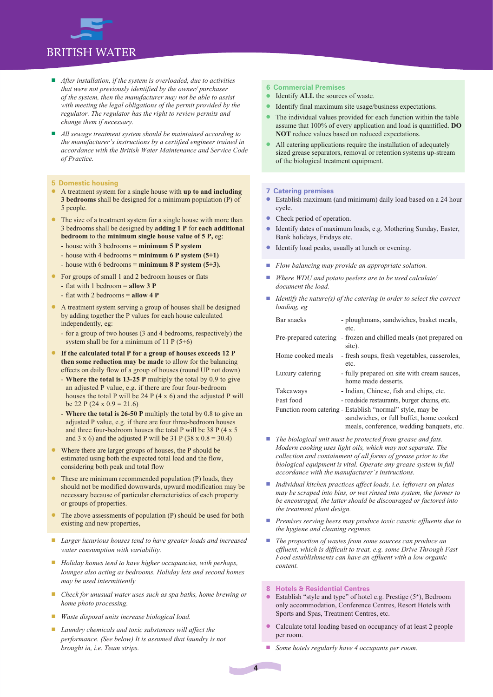### **BRITISH WATER**

- *After installation, if the system is overloaded, due to activities that were not previously identified by the owner/ purchaser of the system, then the manufacturer may not be able to assist with meeting the legal obligations of the permit provided by the regulator. The regulator has the right to review permits and change them if necessary.*
- *All sewage treatment system should be maintained according to the manufacturer's instructions by a certified engineer trained in accordance with the British Water Maintenance and Service Code of Practice.*

#### **5 Domestic housing**

- l A treatment system for a single house with **up to and including 3 bedrooms** shall be designed for a minimum population (P) of 5 people.
- The size of a treatment system for a single house with more than 3 bedrooms shall be designed by **adding 1 P** for **each additional bedroom** to the **minimum single house value of 5 P,** eg:
	- house with 3 bedrooms = **minimum 5 P system**
	- house with 4 bedrooms = **minimum 6 P system (5+1)**
	- house with 6 bedrooms = **minimum 8 P system (5+3).**
- **If** For groups of small 1 and 2 bedroom houses or flats
	- flat with 1 bedroom = **allow 3 P**
	- flat with 2 bedrooms = **allow 4 P**
- l A treatment system serving a group of houses shall be designed by adding together the P values for each house calculated independently, eg:
	- for a group of two houses (3 and 4 bedrooms, respectively) the system shall be for a minimum of 11 P  $(5+6)$
- l **If the calculated total P for a group of houses exceeds 12 P then some reduction may be made** to allow for the balancing effects on daily flow of a group of houses (round UP not down)
	- **Where the total is 13-25 P** multiply the total by 0.9 to give an adjusted P value, e.g. if there are four four-bedroom houses the total P will be 24 P (4 x 6) and the adjusted P will be 22 P (24 x  $0.9 = 21.6$ )
	- **Where the total is 26-50 P** multiply the total by 0.8 to give an adjusted P value, e.g. if there are four three-bedroom houses and three four-bedroom houses the total P will be 38 P (4 x 5 and 3 x 6) and the adjusted P will be 31 P (38 x  $0.8 = 30.4$ )
- l Where there are larger groups of houses, the P should be estimated using both the expected total load and the flow, considering both peak and total flow
- These are minimum recommended population (P) loads, they should not be modified downwards, upward modification may be necessary because of particular characteristics of each property or groups of properties.
- The above assessments of population (P) should be used for both existing and new properties,
- n *Larger luxurious houses tend to have greater loads and increased water consumption with variability.*
- *Holiday homes tend to have higher occupancies, with perhaps, lounges also acting as bedrooms. Holiday lets and second homes may be used intermittently*
- n *Check for unusual water uses such as spa baths, home brewing or home photo processing.*
- *Waste disposal units increase biological load.*
- Laundry chemicals and toxic substances will affect the *performance. (See below) It is assumed that laundry is not brought in, i.e. Team strips.*

#### **6 Commercial Premises**

- l Identify **ALL** the sources of waste.
- l Identify final maximum site usage/business expectations.
- The individual values provided for each function within the table assume that 100% of every application and load is quantified. **DO NOT** reduce values based on reduced expectations.
- All catering applications require the installation of adequately sized grease separators, removal or retention systems up-stream of the biological treatment equipment.

#### **7 Catering premises**

- Establish maximum (and minimum) daily load based on a 24 hour cycle.
- Check period of operation.
- l Identify dates of maximum loads, e.g. Mothering Sunday, Easter, Bank holidays, Fridays etc.
- **Identify load peaks, usually at lunch or evening.**
- *Flow balancing may provide an appropriate solution.*
- n *Where WDU and potato peelers are to be used calculate/ document the load.*
- *Identify the nature(s) of the catering in order to select the correct loading, eg*

| Bar snacks            | - ploughmans, sandwiches, basket meals,                   |
|-----------------------|-----------------------------------------------------------|
|                       | etc.                                                      |
| Pre-prepared catering | - frozen and chilled meals (not prepared on<br>site).     |
| Home cooked meals     | - fresh soups, fresh vegetables, casseroles,              |
|                       | etc.                                                      |
| Luxury catering       | - fully prepared on site with cream sauces,               |
|                       | home made desserts.                                       |
| Takeaways             | - Indian, Chinese, fish and chips, etc.                   |
| Fast food             | - roadside restaurants, burger chains, etc.               |
|                       | Function room catering - Establish "normal" style, may be |
|                       | sandwiches, or full buffet, home cooked                   |
|                       | meals, conference, wedding banquets, etc.                 |

- The biological unit must be protected from grease and fats. *Modern cooking uses light oils, which may not separate. The collection and containment of all forms of grease prior to the biological equipment is vital. Operate any grease system in full accordance with the manufacturer's instructions.*
- *Individual kitchen practices affect loads, i.e. leftovers on plates may be scraped into bins, or wet rinsed into system, the former to be encouraged, the latter should be discouraged or factored into the treatment plant design.*
- n *Premises serving beers may produce toxic caustic effluents due to the hygiene and cleaning regimes.*
- *The proportion of wastes from some sources can produce an effluent, which is difficult to treat, e.g. some Drive Through Fast Food establishments can have an effluent with a low organic content.*

#### **8 Hotels & Residential Centres**

- Establish "style and type" of hotel e.g. Prestige  $(5^*)$ , Bedroom only accommodation, Conference Centres, Resort Hotels with Sports and Spas, Treatment Centres, etc.
- Calculate total loading based on occupancy of at least 2 people per room.
- *Some hotels regularly have 4 occupants per room.*

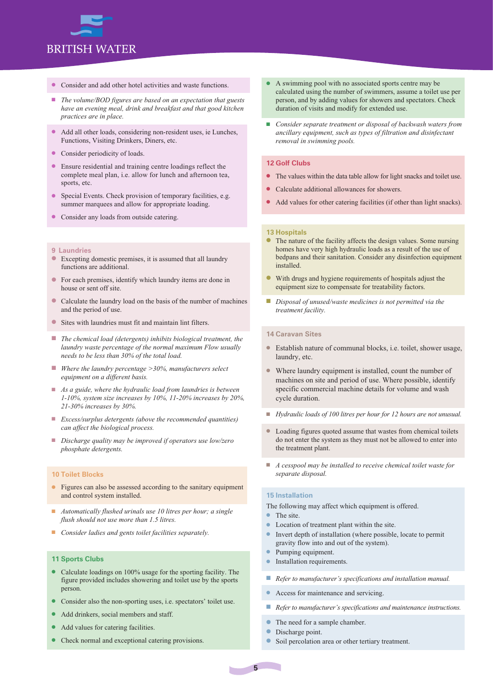

- Consider and add other hotel activities and waste functions.
- The volume/BOD figures are based on an expectation that guests *have an evening meal, drink and breakfast and that good kitchen practices are in place.*
- Add all other loads, considering non-resident uses, ie Lunches, Functions, Visiting Drinkers, Diners, etc.
- Consider periodicity of loads.
- l Ensure residential and training centre loadings reflect the complete meal plan, i.e. allow for lunch and afternoon tea, sports, etc.
- Special Events. Check provision of temporary facilities, e.g. summer marquees and allow for appropriate loading.
- **•** Consider any loads from outside catering.
- **9 Laundries**
- l Excepting domestic premises, it is assumed that all laundry functions are additional.
- l For each premises, identify which laundry items are done in house or sent off site.
- l Calculate the laundry load on the basis of the number of machines and the period of use.
- Sites with laundries must fit and maintain lint filters.
- *The chemical load (detergents) inhibits biological treatment, the laundry waste percentage of the normal maximum Flow usually needs to be less than 30% of the total load.*
- *Where the laundry percentage >30%, manufacturers select equipment on a different basis.*
- n *As a guide, where the hydraulic load from laundries is between 1-10%, system size increases by 10%, 11-20% increases by 20%, 21-30% increases by 30%.*
- *Excess/surplus detergents (above the recommended quantities) can affect the biological process.*
- *Discharge quality may be improved if operators use low/zero phosphate detergents.*

#### **10 Toilet Blocks**

- l Figures can also be assessed according to the sanitary equipment and control system installed.
- n *Automatically flushed urinals use 10 litres per hour; a single flush should not use more than 1.5 litres.*
- *Consider ladies and gents toilet facilities separately.*

#### **11 Sports Clubs**

- Calculate loadings on 100% usage for the sporting facility. The figure provided includes showering and toilet use by the sports person.
- Consider also the non-sporting uses, i.e. spectators' toilet use.
- Add drinkers, social members and staff.
- Add values for catering facilities.
- Check normal and exceptional catering provisions.
- l A swimming pool with no associated sports centre may be calculated using the number of swimmers, assume a toilet use per person, and by adding values for showers and spectators. Check duration of visits and modify for extended use.
- *Consider separate treatment or disposal of backwash waters from ancillary equipment, such as types of filtration and disinfectant removal in swimming pools.*

#### **12 Golf Clubs**

- l The values within the data table allow for light snacks and toilet use.
- Calculate additional allowances for showers.
- l Add values for other catering facilities (if other than light snacks).

#### **13 Hospitals**

- l The nature of the facility affects the design values. Some nursing homes have very high hydraulic loads as a result of the use of bedpans and their sanitation. Consider any disinfection equipment installed.
- With drugs and hygiene requirements of hospitals adjust the equipment size to compensate for treatability factors.
- *Disposal of unused/waste medicines is not permitted via the treatment facility.*

#### **14 Caravan Sites**

- <sup>l</sup> Establish nature of communal blocks, i.e. toilet, shower usage, laundry, etc.
- Where laundry equipment is installed, count the number of machines on site and period of use. Where possible, identify specific commercial machine details for volume and wash cycle duration.
- *Hydraulic loads of 100 litres per hour for 12 hours are not unusual.*
- l Loading figures quoted assume that wastes from chemical toilets do not enter the system as they must not be allowed to enter into the treatment plant.
- *A cesspool may be installed to receive chemical toilet waste for separate disposal.*

#### **15 Installation**

The following may affect which equipment is offered.

- The site.
- Location of treatment plant within the site.
- l Invert depth of installation (where possible, locate to permit gravity flow into and out of the system).
- Pumping equipment.
- Installation requirements.
- *Refer to manufacturer's specifications and installation manual.*
- Access for maintenance and servicing.
- *Refer to manufacturer's specifications and maintenance instructions.*
- The need for a sample chamber.
- **lacks** Discharge point.
- Soil percolation area or other tertiary treatment.